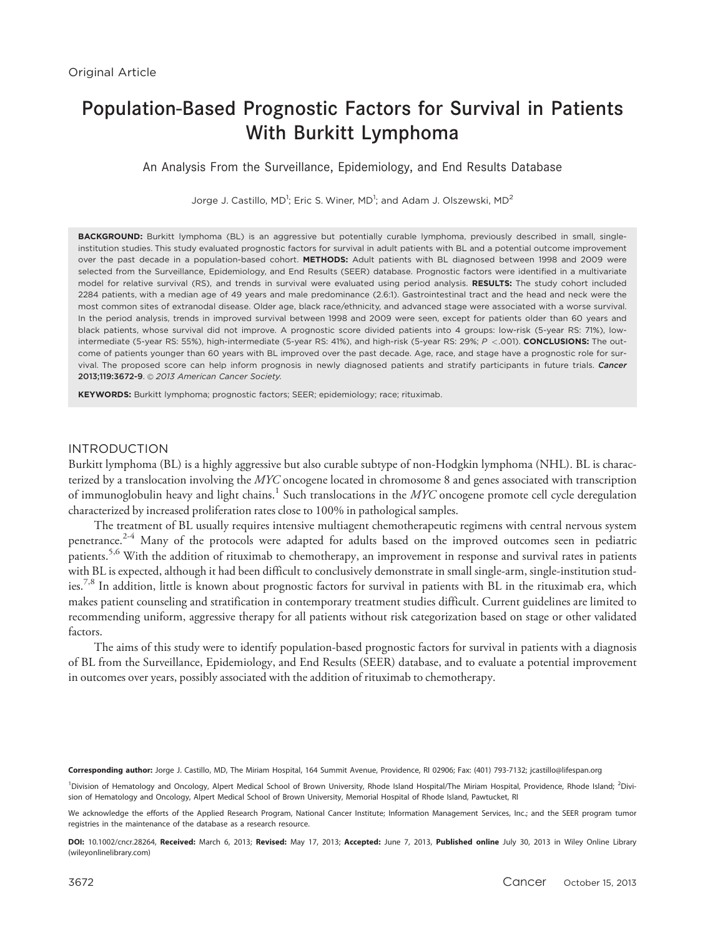# Population-Based Prognostic Factors for Survival in Patients With Burkitt Lymphoma

An Analysis From the Surveillance, Epidemiology, and End Results Database

Jorge J. Castillo, MD<sup>1</sup>; Eric S. Winer, MD<sup>1</sup>; and Adam J. Olszewski, MD<sup>2</sup>

BACKGROUND: Burkitt lymphoma (BL) is an aggressive but potentially curable lymphoma, previously described in small, singleinstitution studies. This study evaluated prognostic factors for survival in adult patients with BL and a potential outcome improvement over the past decade in a population-based cohort. METHODS: Adult patients with BL diagnosed between 1998 and 2009 were selected from the Surveillance, Epidemiology, and End Results (SEER) database. Prognostic factors were identified in a multivariate model for relative survival (RS), and trends in survival were evaluated using period analysis. RESULTS: The study cohort included 2284 patients, with a median age of 49 years and male predominance (2.6:1). Gastrointestinal tract and the head and neck were the most common sites of extranodal disease. Older age, black race/ethnicity, and advanced stage were associated with a worse survival. In the period analysis, trends in improved survival between 1998 and 2009 were seen, except for patients older than 60 years and black patients, whose survival did not improve. A prognostic score divided patients into 4 groups: low-risk (5-year RS: 71%), lowintermediate (5-year RS: 55%), high-intermediate (5-year RS: 41%), and high-risk (5-year RS: 29%; P <. 001). CONCLUSIONS: The outcome of patients younger than 60 years with BL improved over the past decade. Age, race, and stage have a prognostic role for survival. The proposed score can help inform prognosis in newly diagnosed patients and stratify participants in future trials. Cancer 2013:119:3672-9. © 2013 American Cancer Society.

KEYWORDS: Burkitt lymphoma; prognostic factors; SEER; epidemiology; race; rituximab.

## INTRODUCTION

Burkitt lymphoma (BL) is a highly aggressive but also curable subtype of non-Hodgkin lymphoma (NHL). BL is characterized by a translocation involving the MYC oncogene located in chromosome 8 and genes associated with transcription of immunoglobulin heavy and light chains.<sup>1</sup> Such translocations in the  $Myc$  oncogene promote cell cycle deregulation characterized by increased proliferation rates close to 100% in pathological samples.

The treatment of BL usually requires intensive multiagent chemotherapeutic regimens with central nervous system penetrance.<sup>2-4</sup> Many of the protocols were adapted for adults based on the improved outcomes seen in pediatric patients.<sup>5,6</sup> With the addition of rituximab to chemotherapy, an improvement in response and survival rates in patients with BL is expected, although it had been difficult to conclusively demonstrate in small single-arm, single-institution studies.<sup>7,8</sup> In addition, little is known about prognostic factors for survival in patients with BL in the rituximab era, which makes patient counseling and stratification in contemporary treatment studies difficult. Current guidelines are limited to recommending uniform, aggressive therapy for all patients without risk categorization based on stage or other validated factors.

The aims of this study were to identify population-based prognostic factors for survival in patients with a diagnosis of BL from the Surveillance, Epidemiology, and End Results (SEER) database, and to evaluate a potential improvement in outcomes over years, possibly associated with the addition of rituximab to chemotherapy.

Corresponding author: Jorge J. Castillo, MD, The Miriam Hospital, 164 Summit Avenue, Providence, RI 02906; Fax: (401) 793-7132; jcastillo@lifespan.org

<sup>1</sup>Division of Hematology and Oncology, Alpert Medical School of Brown University, Rhode Island Hospital/The Miriam Hospital, Providence, Rhode Island; <sup>2</sup>Division of Hematology and Oncology, Alpert Medical School of Brown University, Memorial Hospital of Rhode Island, Pawtucket, RI

We acknowledge the efforts of the Applied Research Program, National Cancer Institute; Information Management Services, Inc.; and the SEER program tumor registries in the maintenance of the database as a research resource.

DOI: 10.1002/cncr.28264, Received: March 6, 2013; Revised: May 17, 2013; Accepted: June 7, 2013, Published online July 30, 2013 in Wiley Online Library (wileyonlinelibrary.com)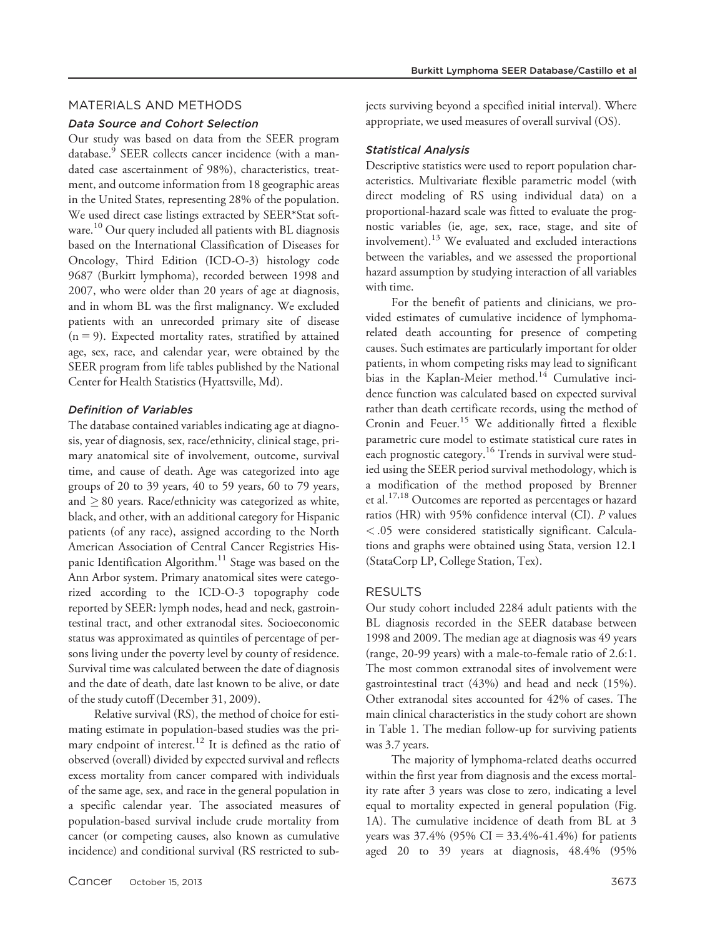#### MATERIALS AND METHODS

#### Data Source and Cohort Selection

Our study was based on data from the SEER program database.<sup>9</sup> SEER collects cancer incidence (with a mandated case ascertainment of 98%), characteristics, treatment, and outcome information from 18 geographic areas in the United States, representing 28% of the population. We used direct case listings extracted by SEER\*Stat software. <sup>10</sup> Our query included all patients with BL diagnosis based on the International Classification of Diseases for Oncology, Third Edition (ICD-O-3) histology code 9687 (Burkitt lymphoma), recorded between 1998 and 2007, who were older than 20 years of age at diagnosis, and in whom BL was the first malignancy. We excluded patients with an unrecorded primary site of disease  $(n = 9)$ . Expected mortality rates, stratified by attained age, sex, race, and calendar year, were obtained by the SEER program from life tables published by the National Center for Health Statistics (Hyattsville, Md).

#### Definition of Variables

The database contained variables indicating age at diagnosis, year of diagnosis, sex, race/ethnicity, clinical stage, primary anatomical site of involvement, outcome, survival time, and cause of death. Age was categorized into age groups of 20 to 39 years, 40 to 59 years, 60 to 79 years, and  $\geq$  80 years. Race/ethnicity was categorized as white, black, and other, with an additional category for Hispanic patients (of any race), assigned according to the North American Association of Central Cancer Registries Hispanic Identification Algorithm.<sup>11</sup> Stage was based on the Ann Arbor system. Primary anatomical sites were categorized according to the ICD-O-3 topography code reported by SEER: lymph nodes, head and neck, gastrointestinal tract, and other extranodal sites. Socioeconomic status was approximated as quintiles of percentage of persons living under the poverty level by county of residence. Survival time was calculated between the date of diagnosis and the date of death, date last known to be alive, or date of the study cutoff (December 31, 2009).

Relative survival (RS), the method of choice for estimating estimate in population-based studies was the primary endpoint of interest.<sup>12</sup> It is defined as the ratio of observed (overall) divided by expected survival and reflects excess mortality from cancer compared with individuals of the same age, sex, and race in the general population in a specific calendar year. The associated measures of population-based survival include crude mortality from cancer (or competing causes, also known as cumulative incidence) and conditional survival (RS restricted to subjects surviving beyond a specified initial interval). Where appropriate, we used measures of overall survival (OS).

#### Statistical Analysis

Descriptive statistics were used to report population characteristics. Multivariate flexible parametric model (with direct modeling of RS using individual data) on a proportional-hazard scale was fitted to evaluate the prognostic variables (ie, age, sex, race, stage, and site of involvement).<sup>13</sup> We evaluated and excluded interactions between the variables, and we assessed the proportional hazard assumption by studying interaction of all variables with time.

For the benefit of patients and clinicians, we provided estimates of cumulative incidence of lymphomarelated death accounting for presence of competing causes. Such estimates are particularly important for older patients, in whom competing risks may lead to significant bias in the Kaplan-Meier method.<sup>14</sup> Cumulative incidence function was calculated based on expected survival rather than death certificate records, using the method of Cronin and Feuer.<sup>15</sup> We additionally fitted a flexible parametric cure model to estimate statistical cure rates in each prognostic category.<sup>16</sup> Trends in survival were studied using the SEER period survival methodology, which is a modification of the method proposed by Brenner et al.17,18 Outcomes are reported as percentages or hazard ratios (HR) with 95% confidence interval (CI). P values < .05 were considered statistically significant. Calculations and graphs were obtained using Stata, version 12.1 (StataCorp LP, College Station, Tex).

#### RESULTS

Our study cohort included 2284 adult patients with the BL diagnosis recorded in the SEER database between 1998 and 2009. The median age at diagnosis was 49 years (range, 20-99 years) with a male-to-female ratio of 2.6:1. The most common extranodal sites of involvement were gastrointestinal tract (43%) and head and neck (15%). Other extranodal sites accounted for 42% of cases. The main clinical characteristics in the study cohort are shown in Table 1. The median follow-up for surviving patients was 3.7 years.

The majority of lymphoma-related deaths occurred within the first year from diagnosis and the excess mortality rate after 3 years was close to zero, indicating a level equal to mortality expected in general population (Fig. 1A). The cumulative incidence of death from BL at 3 years was  $37.4\%$  (95% CI =  $33.4\%$ -41.4%) for patients aged 20 to 39 years at diagnosis, 48.4% (95%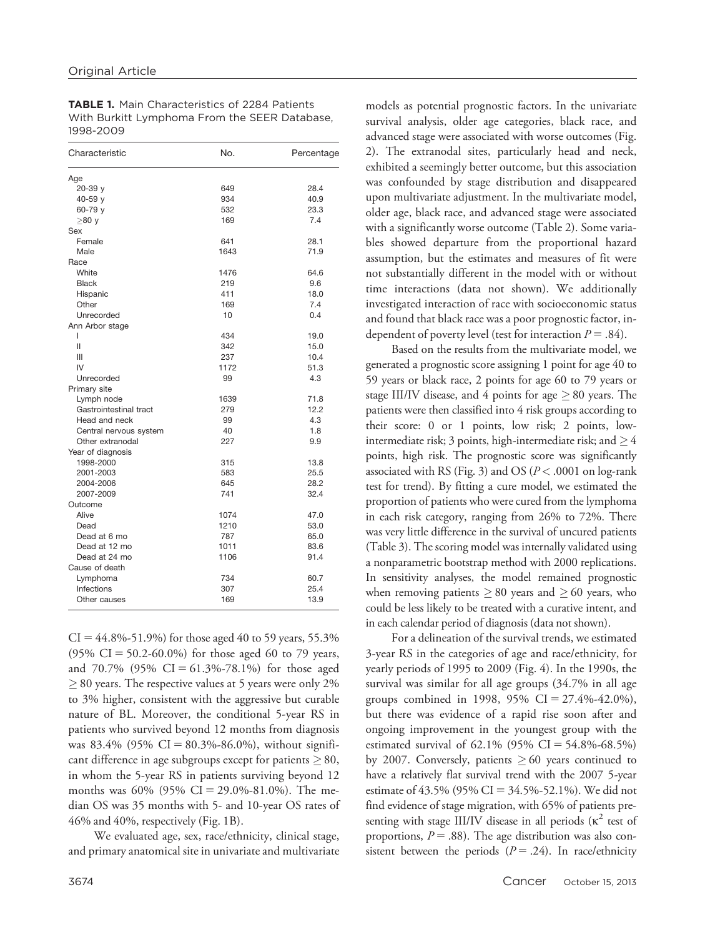TABLE 1. Main Characteristics of 2284 Patients With Burkitt Lymphoma From the SEER Database, 1998-2009

| Characteristic         | No.  | Percentage |
|------------------------|------|------------|
| Age                    |      |            |
| 20-39 y                | 649  | 28.4       |
| 40-59 y                | 934  | 40.9       |
| 60-79 y                | 532  | 23.3       |
| $\geq$ 80 y            | 169  | 7.4        |
| Sex                    |      |            |
| Female                 | 641  | 28.1       |
| Male                   | 1643 | 71.9       |
| Race                   |      |            |
| White                  | 1476 | 64.6       |
| <b>Black</b>           | 219  | 9.6        |
| Hispanic               | 411  | 18.0       |
| Other                  | 169  | 7.4        |
| Unrecorded             | 10   | 0.4        |
| Ann Arbor stage        |      |            |
| L                      | 434  | 19.0       |
| Ш                      | 342  | 15.0       |
| Ш                      | 237  | 10.4       |
| IV                     | 1172 | 51.3       |
| Unrecorded             | 99   | 4.3        |
| Primary site           |      |            |
| Lymph node             | 1639 | 71.8       |
| Gastrointestinal tract | 279  | 12.2       |
| Head and neck          | 99   | 4.3        |
| Central nervous system | 40   | 1.8        |
| Other extranodal       | 227  | 9.9        |
| Year of diagnosis      |      |            |
| 1998-2000              | 315  | 13.8       |
| 2001-2003              | 583  | 25.5       |
| 2004-2006              | 645  | 28.2       |
| 2007-2009              | 741  | 32.4       |
| Outcome                |      |            |
| Alive                  | 1074 | 47.0       |
| Dead                   | 1210 | 53.0       |
| Dead at 6 mo           | 787  | 65.0       |
| Dead at 12 mo          | 1011 | 83.6       |
| Dead at 24 mo          | 1106 | 91.4       |
| Cause of death         |      |            |
| Lymphoma               | 734  | 60.7       |
| Infections             | 307  | 25.4       |
| Other causes           | 169  | 13.9       |
|                        |      |            |

 $CI = 44.8\% - 51.9\%$  for those aged 40 to 59 years, 55.3%  $(95\% \text{ CI} = 50.2 - 60.0\%)$  for those aged 60 to 79 years, and  $70.7\%$  (95% CI = 61.3%-78.1%) for those aged  $\geq$  80 years. The respective values at 5 years were only 2% to 3% higher, consistent with the aggressive but curable nature of BL. Moreover, the conditional 5-year RS in patients who survived beyond 12 months from diagnosis was 83.4% (95% CI = 80.3%-86.0%), without significant difference in age subgroups except for patients  $\geq 80$ , in whom the 5-year RS in patients surviving beyond 12 months was 60% (95% CI = 29.0%-81.0%). The median OS was 35 months with 5- and 10-year OS rates of 46% and 40%, respectively (Fig. 1B).

We evaluated age, sex, race/ethnicity, clinical stage, and primary anatomical site in univariate and multivariate

models as potential prognostic factors. In the univariate survival analysis, older age categories, black race, and advanced stage were associated with worse outcomes (Fig. 2). The extranodal sites, particularly head and neck, exhibited a seemingly better outcome, but this association was confounded by stage distribution and disappeared upon multivariate adjustment. In the multivariate model, older age, black race, and advanced stage were associated with a significantly worse outcome (Table 2). Some variables showed departure from the proportional hazard assumption, but the estimates and measures of fit were not substantially different in the model with or without time interactions (data not shown). We additionally investigated interaction of race with socioeconomic status and found that black race was a poor prognostic factor, independent of poverty level (test for interaction  $P = .84$ ).

Based on the results from the multivariate model, we generated a prognostic score assigning 1 point for age 40 to 59 years or black race, 2 points for age 60 to 79 years or stage III/IV disease, and 4 points for age  $\geq$  80 years. The patients were then classified into 4 risk groups according to their score: 0 or 1 points, low risk; 2 points, lowintermediate risk; 3 points, high-intermediate risk; and  $\geq$  4 points, high risk. The prognostic score was significantly associated with RS (Fig. 3) and OS ( $P < .0001$  on log-rank test for trend). By fitting a cure model, we estimated the proportion of patients who were cured from the lymphoma in each risk category, ranging from 26% to 72%. There was very little difference in the survival of uncured patients (Table 3). The scoring model was internally validated using a nonparametric bootstrap method with 2000 replications. In sensitivity analyses, the model remained prognostic when removing patients  $\geq$  80 years and  $\geq$  60 years, who could be less likely to be treated with a curative intent, and in each calendar period of diagnosis (data not shown).

For a delineation of the survival trends, we estimated 3-year RS in the categories of age and race/ethnicity, for yearly periods of 1995 to 2009 (Fig. 4). In the 1990s, the survival was similar for all age groups (34.7% in all age groups combined in 1998, 95% CI =  $27.4\% - 42.0\%$ ), but there was evidence of a rapid rise soon after and ongoing improvement in the youngest group with the estimated survival of  $62.1\%$  (95% CI = 54.8%-68.5%) by 2007. Conversely, patients  $\geq 60$  years continued to have a relatively flat survival trend with the 2007 5-year estimate of 43.5% (95% CI = 34.5%-52.1%). We did not find evidence of stage migration, with 65% of patients presenting with stage III/IV disease in all periods ( $\kappa^2$  test of proportions,  $P = .88$ ). The age distribution was also consistent between the periods ( $P = .24$ ). In race/ethnicity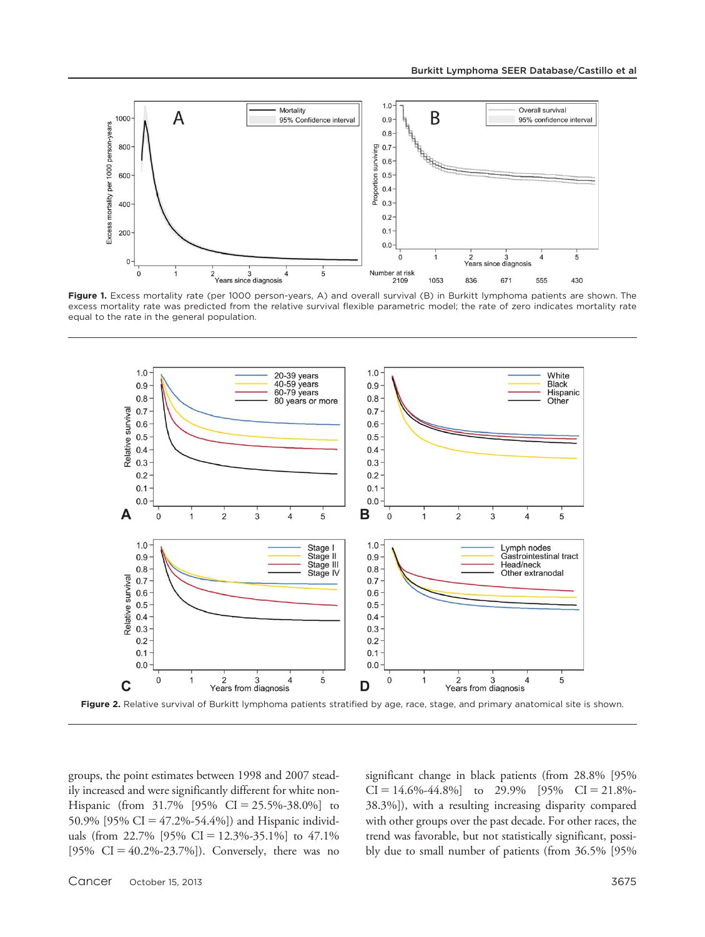

Figure 1. Excess mortality rate (per 1000 person-years, A) and overall survival (B) in Burkitt lymphoma patients are shown. The excess mortality rate was predicted from the relative survival flexible parametric model; the rate of zero indicates mortality rate equal to the rate in the general population.



Figure 2. Relative survival of Burkitt lymphoma patients stratified by age, race, stage, and primary anatomical site is shown.

groups, the point estimates between 1998 and 2007 steadily increased and were significantly different for white non-Hispanic (from  $31.7\%$  [95% CI = 25.5%-38.0%] to 50.9% [95% CI = 47.2%-54.4%]) and Hispanic individuals (from 22.7% [95% CI = 12.3%-35.1%] to 47.1% [95%  $CI = 40.2\% - 23.7\%$ ]). Conversely, there was no significant change in black patients (from 28.8% [95%  $CI = 14.6\% - 44.8\%$ ] to 29.9%  $[95\% \text{ CI} = 21.8\% -$ 38.3%]), with a resulting increasing disparity compared with other groups over the past decade. For other races, the trend was favorable, but not statistically significant, possibly due to small number of patients (from 36.5% [95%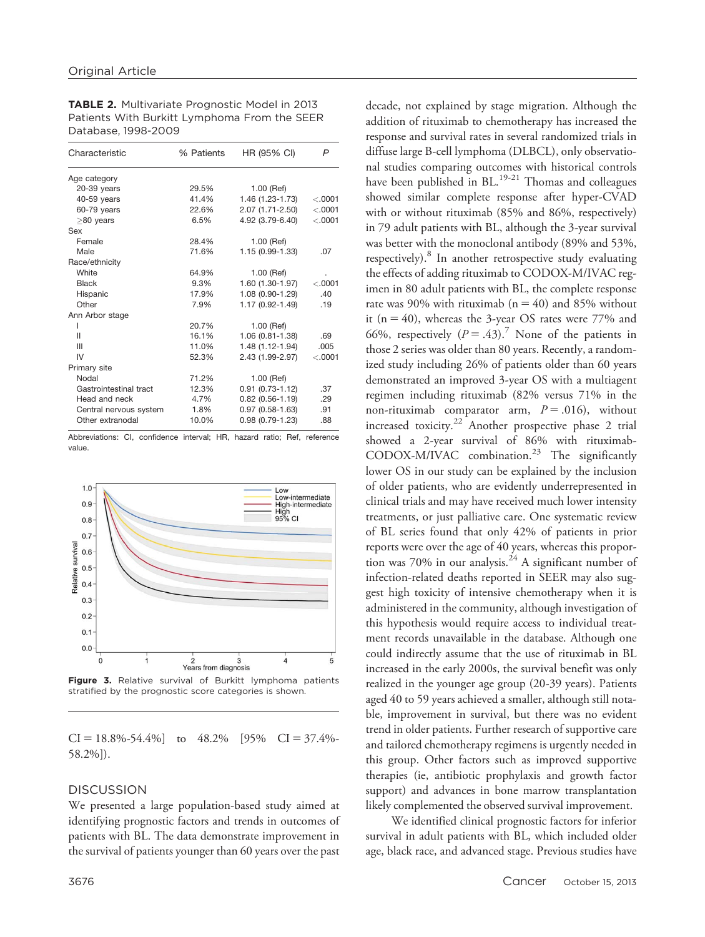| Characteristic         | % Patients | HR (95% CI)         | P        |  |  |  |
|------------------------|------------|---------------------|----------|--|--|--|
| Age category           |            |                     |          |  |  |  |
| $20-39$ years          | 29.5%      | 1.00 (Ref)          |          |  |  |  |
| 40-59 years            | 41.4%      | 1.46 (1.23-1.73)    | < .0001  |  |  |  |
| 60-79 years            | 22.6%      | 2.07 (1.71-2.50)    | < .0001  |  |  |  |
| $\geq$ 80 years        | 6.5%       | 4.92 (3.79-6.40)    | < .0001  |  |  |  |
| Sex                    |            |                     |          |  |  |  |
| Female                 | 28.4%      | 1.00 (Ref)          |          |  |  |  |
| Male                   | 71.6%      | 1.15 (0.99-1.33)    | .07      |  |  |  |
| Race/ethnicity         |            |                     |          |  |  |  |
| White                  | 64.9%      | 1.00 (Ref)          |          |  |  |  |
| <b>Black</b>           | $9.3\%$    | 1.60 (1.30-1.97)    | $-.0001$ |  |  |  |
| Hispanic               | 17.9%      | 1.08 (0.90-1.29)    | .40      |  |  |  |
| Other                  | 7.9%       | 1.17 (0.92-1.49)    | .19      |  |  |  |
| Ann Arbor stage        |            |                     |          |  |  |  |
| ı                      | 20.7%      | 1.00 (Ref)          |          |  |  |  |
| Ш                      | 16.1%      | $1.06(0.81 - 1.38)$ | .69      |  |  |  |
| Ш                      | 11.0%      | 1.48 (1.12-1.94)    | .005     |  |  |  |
| IV                     | 52.3%      | 2.43 (1.99-2.97)    | < .0001  |  |  |  |
| Primary site           |            |                     |          |  |  |  |
| Nodal                  | 71.2%      | 1.00 (Ref)          |          |  |  |  |
| Gastrointestinal tract | 12.3%      | $0.91(0.73-1.12)$   | .37      |  |  |  |
| Head and neck          | 4.7%       | $0.82(0.56 - 1.19)$ | .29      |  |  |  |
| Central nervous system | 1.8%       | $0.97(0.58 - 1.63)$ | .91      |  |  |  |
| Other extranodal       | 10.0%      | $0.98(0.79 - 1.23)$ | .88      |  |  |  |

TABLE 2. Multivariate Prognostic Model in 2013 Patients With Burkitt Lymphoma From the SEER Database, 1998-2009

Abbreviations: CI, confidence interval; HR, hazard ratio; Ref, reference value.



Figure 3. Relative survival of Burkitt lymphoma patients stratified by the prognostic score categories is shown.

 $CI = 18.8\% - 54.4\%$ ] to  $48.2\%$  [95%  $CI = 37.4\%$ -58.2%]).

#### **DISCUSSION**

We presented a large population-based study aimed at identifying prognostic factors and trends in outcomes of patients with BL. The data demonstrate improvement in the survival of patients younger than 60 years over the past decade, not explained by stage migration. Although the addition of rituximab to chemotherapy has increased the response and survival rates in several randomized trials in diffuse large B-cell lymphoma (DLBCL), only observational studies comparing outcomes with historical controls have been published in  $BL$ <sup>19-21</sup> Thomas and colleagues showed similar complete response after hyper-CVAD with or without rituximab (85% and 86%, respectively) in 79 adult patients with BL, although the 3-year survival was better with the monoclonal antibody (89% and 53%, respectively).<sup>8</sup> In another retrospective study evaluating the effects of adding rituximab to CODOX-M/IVAC regimen in 80 adult patients with BL, the complete response rate was 90% with rituximab ( $n = 40$ ) and 85% without it ( $n = 40$ ), whereas the 3-year OS rates were 77% and 66%, respectively  $(P = .43)^7$  None of the patients in those 2 series was older than 80 years. Recently, a randomized study including 26% of patients older than 60 years demonstrated an improved 3-year OS with a multiagent regimen including rituximab (82% versus 71% in the non-rituximab comparator arm,  $P = .016$ , without increased toxicity.<sup>22</sup> Another prospective phase 2 trial showed a 2-year survival of 86% with rituximab-CODOX-M/IVAC combination.<sup>23</sup> The significantly lower OS in our study can be explained by the inclusion of older patients, who are evidently underrepresented in clinical trials and may have received much lower intensity treatments, or just palliative care. One systematic review of BL series found that only 42% of patients in prior reports were over the age of 40 years, whereas this proportion was 70% in our analysis.<sup>24</sup> A significant number of infection-related deaths reported in SEER may also suggest high toxicity of intensive chemotherapy when it is administered in the community, although investigation of this hypothesis would require access to individual treatment records unavailable in the database. Although one could indirectly assume that the use of rituximab in BL increased in the early 2000s, the survival benefit was only realized in the younger age group (20-39 years). Patients aged 40 to 59 years achieved a smaller, although still notable, improvement in survival, but there was no evident trend in older patients. Further research of supportive care and tailored chemotherapy regimens is urgently needed in this group. Other factors such as improved supportive therapies (ie, antibiotic prophylaxis and growth factor support) and advances in bone marrow transplantation likely complemented the observed survival improvement.

We identified clinical prognostic factors for inferior survival in adult patients with BL, which included older age, black race, and advanced stage. Previous studies have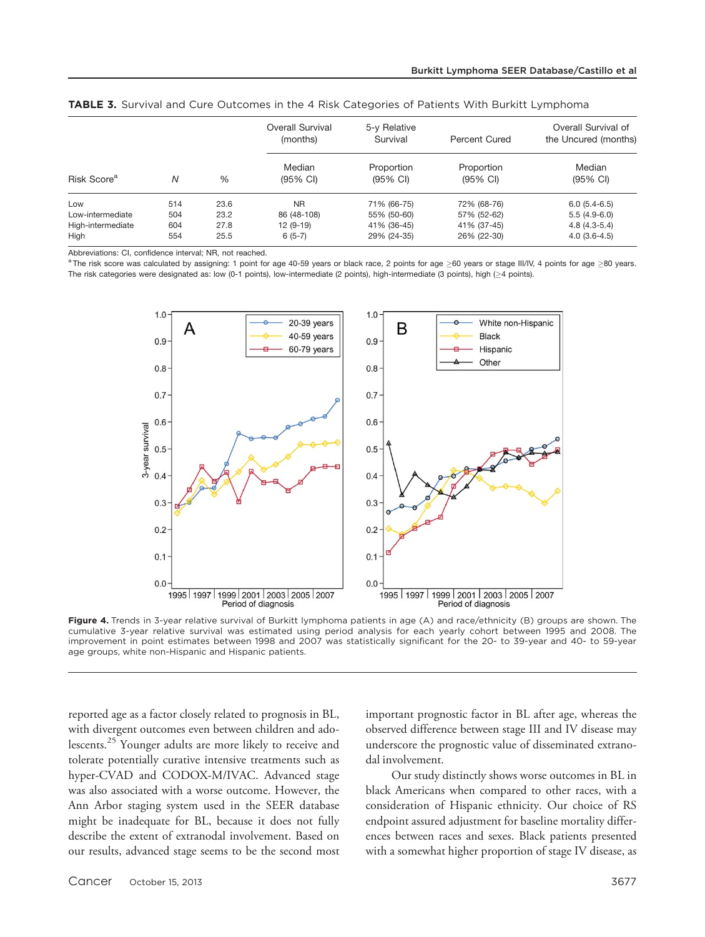| Risk Score <sup>a</sup> |     |      | Overall Survival<br>(months)<br>Median<br>(95% CI) | 5-y Relative<br>Survival<br>Proportion<br>(95% CI) | Percent Cured<br>Proportion<br>$(95% \text{ Cl})$ | Overall Survival of<br>the Uncured (months)<br>Median<br>$(95% \text{ Cl})$ |
|-------------------------|-----|------|----------------------------------------------------|----------------------------------------------------|---------------------------------------------------|-----------------------------------------------------------------------------|
|                         | Ν   | %    |                                                    |                                                    |                                                   |                                                                             |
| Low                     | 514 | 23.6 | <b>NR</b>                                          | 71% (66-75)                                        | 72% (68-76)                                       | $6.0(5.4-6.5)$                                                              |
| Low-intermediate        | 504 | 23.2 | 86 (48-108)                                        | 55% (50-60)                                        | 57% (52-62)                                       | $5.5(4.9-6.0)$                                                              |
| High-intermediate       | 604 | 27.8 | $12(9-19)$                                         | 41% (36-45)                                        | 41% (37-45)                                       | $4.8(4.3-5.4)$                                                              |
| High                    | 554 | 25.5 | $6(5-7)$                                           | 29% (24-35)                                        | 26% (22-30)                                       | $4.0(3.6-4.5)$                                                              |

TABLE 3. Survival and Cure Outcomes in the 4 Risk Categories of Patients With Burkitt Lymphoma

Abbreviations: CI, confidence interval; NR, not reached.

 $^{\text{a}}$ The risk score was calculated by assigning: 1 point for age 40-59 years or black race, 2 points for age  $\geq$ 60 years or stage III/IV, 4 points for age  $\geq$ 80 years. The risk categories were designated as: low (0-1 points), low-intermediate (2 points), high-intermediate (3 points), high ( $\geq$ 4 points).



Figure 4. Trends in 3-year relative survival of Burkitt lymphoma patients in age (A) and race/ethnicity (B) groups are shown. The cumulative 3-year relative survival was estimated using period analysis for each yearly cohort between 1995 and 2008. The improvement in point estimates between 1998 and 2007 was statistically significant for the 20- to 39-year and 40- to 59-year age groups, white non-Hispanic and Hispanic patients.

reported age as a factor closely related to prognosis in BL, with divergent outcomes even between children and adolescents.<sup>25</sup> Younger adults are more likely to receive and tolerate potentially curative intensive treatments such as hyper-CVAD and CODOX-M/IVAC. Advanced stage was also associated with a worse outcome. However, the Ann Arbor staging system used in the SEER database might be inadequate for BL, because it does not fully describe the extent of extranodal involvement. Based on our results, advanced stage seems to be the second most important prognostic factor in BL after age, whereas the observed difference between stage III and IV disease may underscore the prognostic value of disseminated extranodal involvement.

Our study distinctly shows worse outcomes in BL in black Americans when compared to other races, with a consideration of Hispanic ethnicity. Our choice of RS endpoint assured adjustment for baseline mortality differences between races and sexes. Black patients presented with a somewhat higher proportion of stage IV disease, as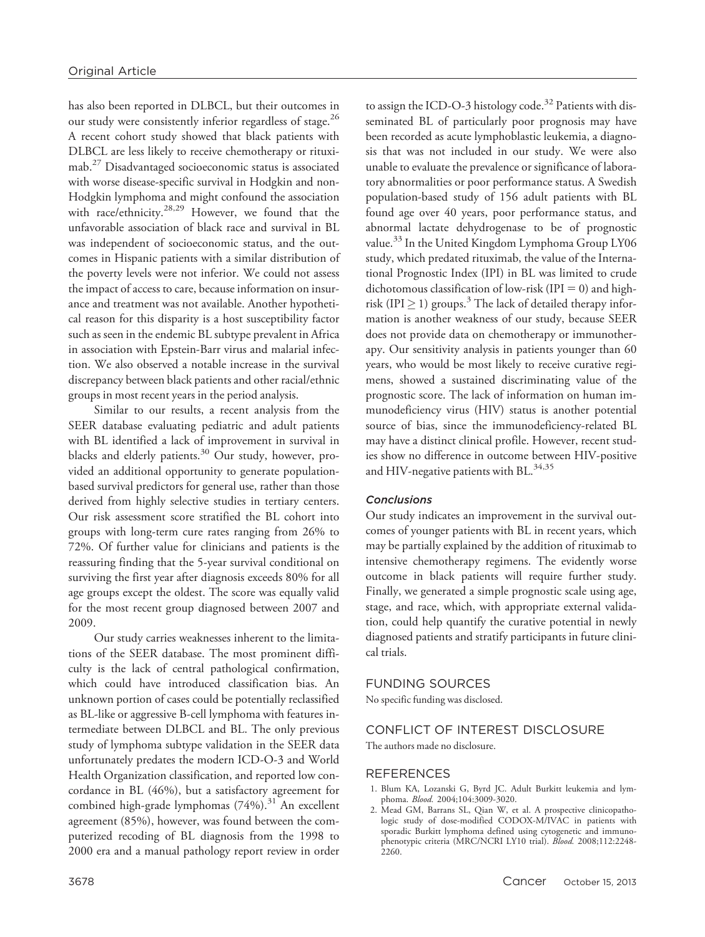has also been reported in DLBCL, but their outcomes in our study were consistently inferior regardless of stage.<sup>26</sup> A recent cohort study showed that black patients with DLBCL are less likely to receive chemotherapy or rituximab.27 Disadvantaged socioeconomic status is associated with worse disease-specific survival in Hodgkin and non-Hodgkin lymphoma and might confound the association with race/ethnicity.<sup>28,29</sup> However, we found that the unfavorable association of black race and survival in BL was independent of socioeconomic status, and the outcomes in Hispanic patients with a similar distribution of the poverty levels were not inferior. We could not assess the impact of access to care, because information on insurance and treatment was not available. Another hypothetical reason for this disparity is a host susceptibility factor such as seen in the endemic BL subtype prevalent in Africa in association with Epstein-Barr virus and malarial infection. We also observed a notable increase in the survival discrepancy between black patients and other racial/ethnic groups in most recent years in the period analysis.

Similar to our results, a recent analysis from the SEER database evaluating pediatric and adult patients with BL identified a lack of improvement in survival in blacks and elderly patients.<sup>30</sup> Our study, however, provided an additional opportunity to generate populationbased survival predictors for general use, rather than those derived from highly selective studies in tertiary centers. Our risk assessment score stratified the BL cohort into groups with long-term cure rates ranging from 26% to 72%. Of further value for clinicians and patients is the reassuring finding that the 5-year survival conditional on surviving the first year after diagnosis exceeds 80% for all age groups except the oldest. The score was equally valid for the most recent group diagnosed between 2007 and 2009.

Our study carries weaknesses inherent to the limitations of the SEER database. The most prominent difficulty is the lack of central pathological confirmation, which could have introduced classification bias. An unknown portion of cases could be potentially reclassified as BL-like or aggressive B-cell lymphoma with features intermediate between DLBCL and BL. The only previous study of lymphoma subtype validation in the SEER data unfortunately predates the modern ICD-O-3 and World Health Organization classification, and reported low concordance in BL (46%), but a satisfactory agreement for combined high-grade lymphomas  $(74%)$ .<sup>31</sup> An excellent agreement (85%), however, was found between the computerized recoding of BL diagnosis from the 1998 to 2000 era and a manual pathology report review in order to assign the ICD-O-3 histology code.<sup>32</sup> Patients with disseminated BL of particularly poor prognosis may have been recorded as acute lymphoblastic leukemia, a diagnosis that was not included in our study. We were also unable to evaluate the prevalence or significance of laboratory abnormalities or poor performance status. A Swedish population-based study of 156 adult patients with BL found age over 40 years, poor performance status, and abnormal lactate dehydrogenase to be of prognostic value.<sup>33</sup> In the United Kingdom Lymphoma Group LY06 study, which predated rituximab, the value of the International Prognostic Index (IPI) in BL was limited to crude dichotomous classification of low-risk (IPI = 0) and highrisk (IPI  $\geq$  1) groups.<sup>3</sup> The lack of detailed therapy information is another weakness of our study, because SEER does not provide data on chemotherapy or immunotherapy. Our sensitivity analysis in patients younger than 60 years, who would be most likely to receive curative regimens, showed a sustained discriminating value of the prognostic score. The lack of information on human immunodeficiency virus (HIV) status is another potential source of bias, since the immunodeficiency-related BL may have a distinct clinical profile. However, recent studies show no difference in outcome between HIV-positive and HIV-negative patients with BL. $^{34,35}$ 

#### **Conclusions**

Our study indicates an improvement in the survival outcomes of younger patients with BL in recent years, which may be partially explained by the addition of rituximab to intensive chemotherapy regimens. The evidently worse outcome in black patients will require further study. Finally, we generated a simple prognostic scale using age, stage, and race, which, with appropriate external validation, could help quantify the curative potential in newly diagnosed patients and stratify participants in future clinical trials.

#### FUNDING SOURCES

No specific funding was disclosed.

# CONFLICT OF INTEREST DISCLOSURE

The authors made no disclosure.

### **REFERENCES**

- 1. Blum KA, Lozanski G, Byrd JC. Adult Burkitt leukemia and lymphoma. Blood. 2004;104:3009-3020.
- 2. Mead GM, Barrans SL, Qian W, et al. A prospective clinicopathologic study of dose-modified CODOX-M/IVAC in patients with sporadic Burkitt lymphoma defined using cytogenetic and immunophenotypic criteria (MRC/NCRI LY10 trial). Blood. 2008;112:2248-2260.